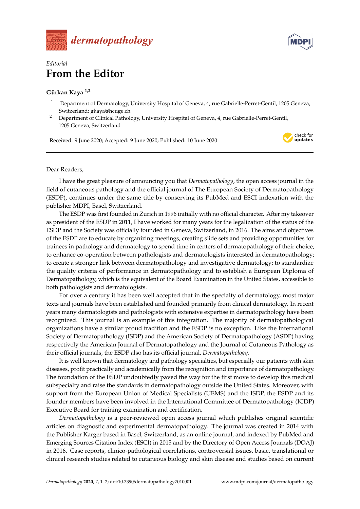



## *Editorial* **From the Editor**

## **Gürkan Kaya 1,2**

- <sup>1</sup> Department of Dermatology, University Hospital of Geneva, 4, rue Gabrielle-Perret-Gentil, 1205 Geneva, Switzerland; gkaya@hcuge.ch
- <sup>2</sup> Department of Clinical Pathology, University Hospital of Geneva, 4, rue Gabrielle-Perret-Gentil, 1205 Geneva, Switzerland

Received: 9 June 2020; Accepted: 9 June 2020; Published: 10 June 2020



## Dear Readers,

I have the great pleasure of announcing you that *Dermatopathology*, the open access journal in the field of cutaneous pathology and the official journal of The European Society of Dermatopathology (ESDP), continues under the same title by conserving its PubMed and ESCI indexation with the publisher MDPI, Basel, Switzerland.

The ESDP was first founded in Zurich in 1996 initially with no official character. After my takeover as president of the ESDP in 2011, I have worked for many years for the legalization of the status of the ESDP and the Society was officially founded in Geneva, Switzerland, in 2016. The aims and objectives of the ESDP are to educate by organizing meetings, creating slide sets and providing opportunities for trainees in pathology and dermatology to spend time in centers of dermatopathology of their choice; to enhance co-operation between pathologists and dermatologists interested in dermatopathology; to create a stronger link between dermatopathology and investigative dermatology; to standardize the quality criteria of performance in dermatopathology and to establish a European Diploma of Dermatopathology, which is the equivalent of the Board Examination in the United States, accessible to both pathologists and dermatologists.

For over a century it has been well accepted that in the specialty of dermatology, most major texts and journals have been established and founded primarily from clinical dermatology. In recent years many dermatologists and pathologists with extensive expertise in dermatopathology have been recognized. This journal is an example of this integration. The majority of dermatopathological organizations have a similar proud tradition and the ESDP is no exception. Like the International Society of Dermatopathology (ISDP) and the American Society of Dermatopathology (ASDP) having respectively the American Journal of Dermatopathology and the Journal of Cutaneous Pathology as their official journals, the ESDP also has its official journal, *Dermatopathology*.

It is well known that dermatology and pathology specialties, but especially our patients with skin diseases, profit practically and academically from the recognition and importance of dermatopathology. The foundation of the ESDP undoubtedly paved the way for the first move to develop this medical subspecialty and raise the standards in dermatopathology outside the United States. Moreover, with support from the European Union of Medical Specialists (UEMS) and the ISDP, the ESDP and its founder members have been involved in the International Committee of Dermatopathology (ICDP) Executive Board for training examination and certification.

*Dermatopathology* is a peer-reviewed open access journal which publishes original scientific articles on diagnostic and experimental dermatopathology. The journal was created in 2014 with the Publisher Karger based in Basel, Switzerland, as an online journal, and indexed by PubMed and Emerging Sources Citation Index (ESCI) in 2015 and by the Directory of Open Access Journals (DOAJ) in 2016. Case reports, clinico-pathological correlations, controversial issues, basic, translational or clinical research studies related to cutaneous biology and skin disease and studies based on current